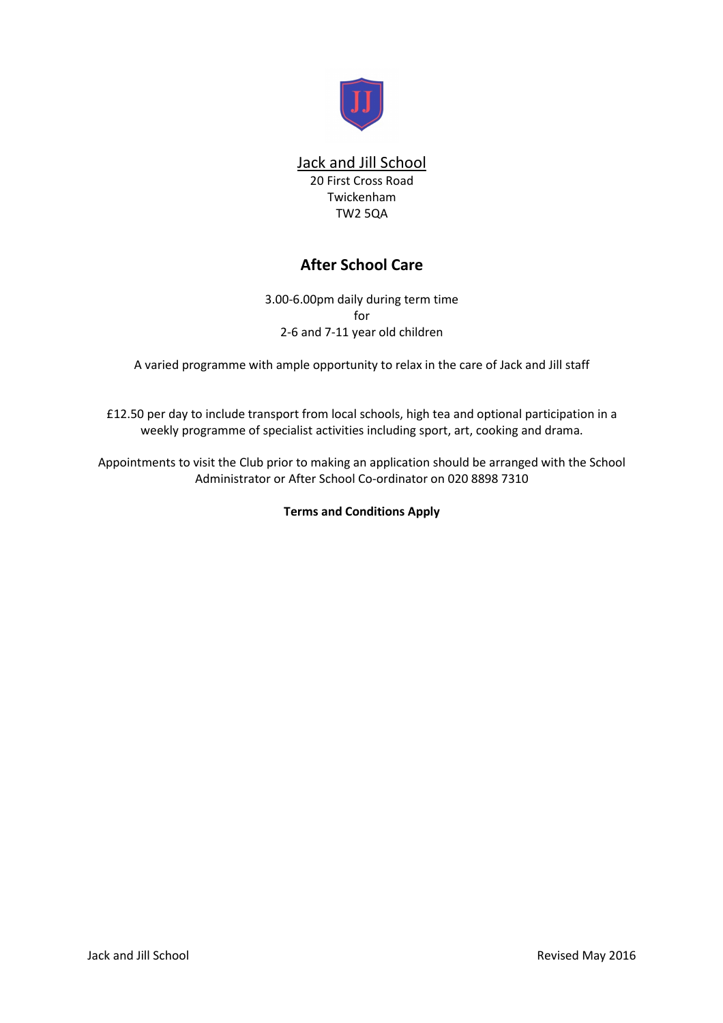

# Jack and Jill School

20 First Cross Road Twickenham TW2 5QA

# **After School Care**

3.00-6.00pm daily during term time for 2-6 and 7-11 year old children

A varied programme with ample opportunity to relax in the care of Jack and Jill staff

£12.50 per day to include transport from local schools, high tea and optional participation in a weekly programme of specialist activities including sport, art, cooking and drama.

Appointments to visit the Club prior to making an application should be arranged with the School Administrator or After School Co-ordinator on 020 8898 7310

**Terms and Conditions Apply**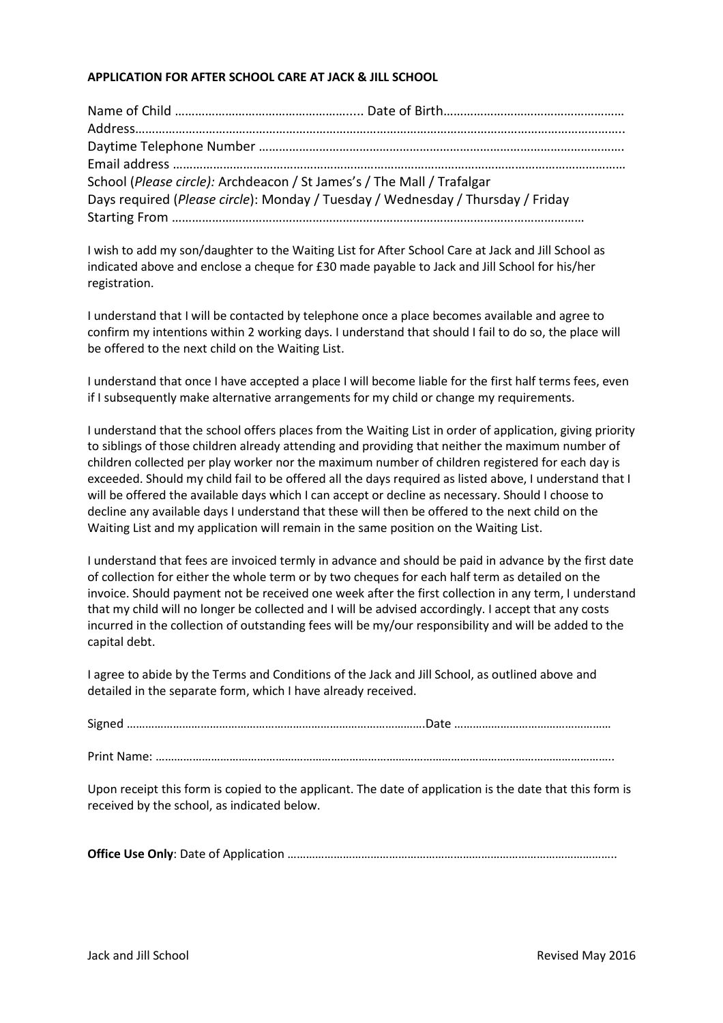# **APPLICATION FOR AFTER SCHOOL CARE AT JACK & JILL SCHOOL**

| School (Please circle): Archdeacon / St James's / The Mall / Trafalgar          |  |
|---------------------------------------------------------------------------------|--|
| Days required (Please circle): Monday / Tuesday / Wednesday / Thursday / Friday |  |
|                                                                                 |  |

I wish to add my son/daughter to the Waiting List for After School Care at Jack and Jill School as indicated above and enclose a cheque for £30 made payable to Jack and Jill School for his/her registration.

I understand that I will be contacted by telephone once a place becomes available and agree to confirm my intentions within 2 working days. I understand that should I fail to do so, the place will be offered to the next child on the Waiting List.

I understand that once I have accepted a place I will become liable for the first half terms fees, even if I subsequently make alternative arrangements for my child or change my requirements.

I understand that the school offers places from the Waiting List in order of application, giving priority to siblings of those children already attending and providing that neither the maximum number of children collected per play worker nor the maximum number of children registered for each day is exceeded. Should my child fail to be offered all the days required as listed above, I understand that I will be offered the available days which I can accept or decline as necessary. Should I choose to decline any available days I understand that these will then be offered to the next child on the Waiting List and my application will remain in the same position on the Waiting List.

I understand that fees are invoiced termly in advance and should be paid in advance by the first date of collection for either the whole term or by two cheques for each half term as detailed on the invoice. Should payment not be received one week after the first collection in any term, I understand that my child will no longer be collected and I will be advised accordingly. I accept that any costs incurred in the collection of outstanding fees will be my/our responsibility and will be added to the capital debt.

I agree to abide by the Terms and Conditions of the Jack and Jill School, as outlined above and detailed in the separate form, which I have already received.

Print Name: …………………………………………………………………………………………………………………………………..

Upon receipt this form is copied to the applicant. The date of application is the date that this form is received by the school, as indicated below.

**Office Use Only**: Date of Application ……………………………………………………………………………………………..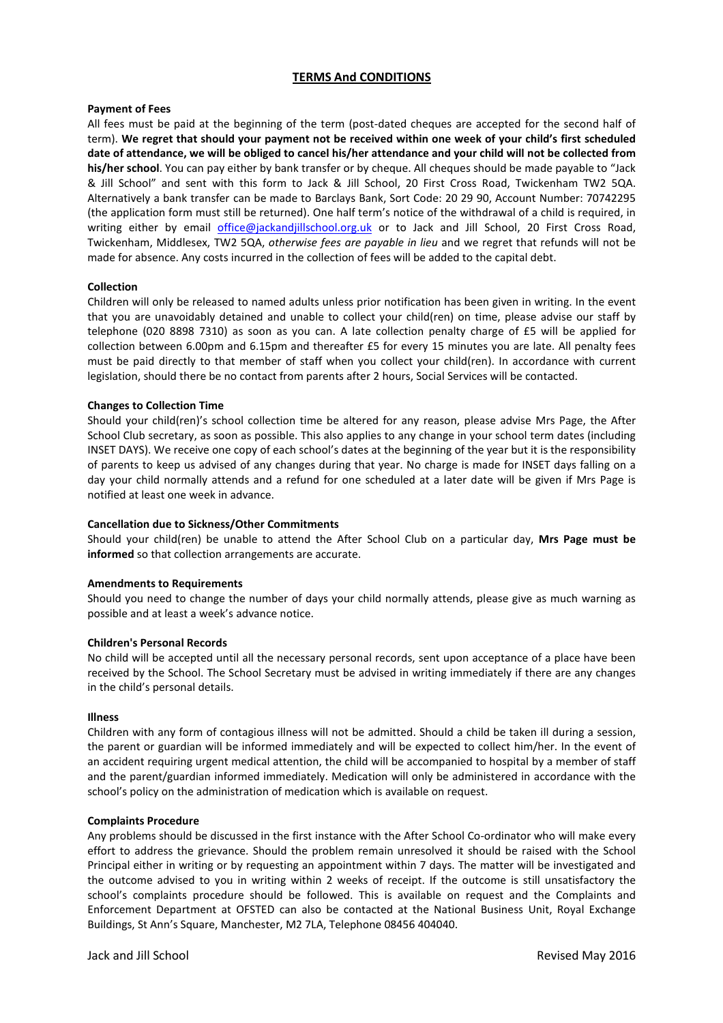## **TERMS And CONDITIONS**

#### **Payment of Fees**

All fees must be paid at the beginning of the term (post-dated cheques are accepted for the second half of term). **We regret that should your payment not be received within one week of your child's first scheduled date of attendance, we will be obliged to cancel his/her attendance and your child will not be collected from his/her school**. You can pay either by bank transfer or by cheque. All cheques should be made payable to "Jack & Jill School" and sent with this form to Jack & Jill School, 20 First Cross Road, Twickenham TW2 5QA. Alternatively a bank transfer can be made to Barclays Bank, Sort Code: 20 29 90, Account Number: 70742295 (the application form must still be returned). One half term's notice of the withdrawal of a child is required, in writing either by email office@jackandjillschool.org.uk or to Jack and Jill School, 20 First Cross Road, Twickenham, Middlesex, TW2 5QA, *otherwise fees are payable in lieu* and we regret that refunds will not be made for absence. Any costs incurred in the collection of fees will be added to the capital debt.

#### **Collection**

Children will only be released to named adults unless prior notification has been given in writing. In the event that you are unavoidably detained and unable to collect your child(ren) on time, please advise our staff by telephone (020 8898 7310) as soon as you can. A late collection penalty charge of £5 will be applied for collection between 6.00pm and 6.15pm and thereafter £5 for every 15 minutes you are late. All penalty fees must be paid directly to that member of staff when you collect your child(ren). In accordance with current legislation, should there be no contact from parents after 2 hours, Social Services will be contacted.

### **Changes to Collection Time**

Should your child(ren)'s school collection time be altered for any reason, please advise Mrs Page, the After School Club secretary, as soon as possible. This also applies to any change in your school term dates (including INSET DAYS). We receive one copy of each school's dates at the beginning of the year but it is the responsibility of parents to keep us advised of any changes during that year. No charge is made for INSET days falling on a day your child normally attends and a refund for one scheduled at a later date will be given if Mrs Page is notified at least one week in advance.

### **Cancellation due to Sickness/Other Commitments**

Should your child(ren) be unable to attend the After School Club on a particular day, **Mrs Page must be informed** so that collection arrangements are accurate.

#### **Amendments to Requirements**

Should you need to change the number of days your child normally attends, please give as much warning as possible and at least a week's advance notice.

#### **Children's Personal Records**

No child will be accepted until all the necessary personal records, sent upon acceptance of a place have been received by the School. The School Secretary must be advised in writing immediately if there are any changes in the child's personal details.

#### **Illness**

Children with any form of contagious illness will not be admitted. Should a child be taken ill during a session, the parent or guardian will be informed immediately and will be expected to collect him/her. In the event of an accident requiring urgent medical attention, the child will be accompanied to hospital by a member of staff and the parent/guardian informed immediately. Medication will only be administered in accordance with the school's policy on the administration of medication which is available on request.

#### **Complaints Procedure**

Any problems should be discussed in the first instance with the After School Co-ordinator who will make every effort to address the grievance. Should the problem remain unresolved it should be raised with the School Principal either in writing or by requesting an appointment within 7 days. The matter will be investigated and the outcome advised to you in writing within 2 weeks of receipt. If the outcome is still unsatisfactory the school's complaints procedure should be followed. This is available on request and the Complaints and Enforcement Department at OFSTED can also be contacted at the National Business Unit, Royal Exchange Buildings, St Ann's Square, Manchester, M2 7LA, Telephone 08456 404040.